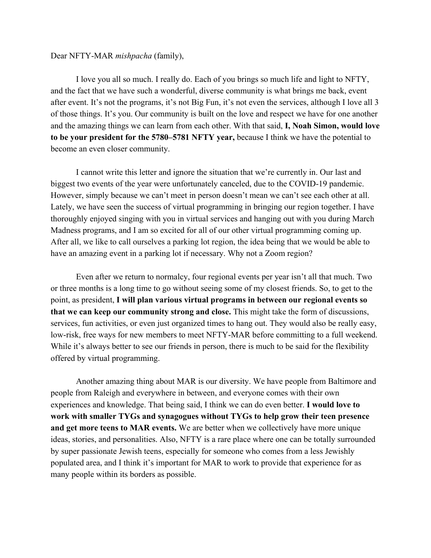## Dear NFTY-MAR *mishpacha* (family),

I love you all so much. I really do. Each of you brings so much life and light to NFTY, and the fact that we have such a wonderful, diverse community is what brings me back, event after event. It's not the programs, it's not Big Fun, it's not even the services, although I love all 3 of those things. It's you. Our community is built on the love and respect we have for one another and the amazing things we can learn from each other. With that said, **I, Noah Simon, would love to be your president for the 5780–5781 NFTY year,** because I think we have the potential to become an even closer community.

I cannot write this letter and ignore the situation that we're currently in. Our last and biggest two events of the year were unfortunately canceled, due to the COVID-19 pandemic. However, simply because we can't meet in person doesn't mean we can't see each other at all. Lately, we have seen the success of virtual programming in bringing our region together. I have thoroughly enjoyed singing with you in virtual services and hanging out with you during March Madness programs, and I am so excited for all of our other virtual programming coming up. After all, we like to call ourselves a parking lot region, the idea being that we would be able to have an amazing event in a parking lot if necessary. Why not a Zoom region?

Even after we return to normalcy, four regional events per year isn't all that much. Two or three months is a long time to go without seeing some of my closest friends. So, to get to the point, as president, **I will plan various virtual programs in between our regional events so that we can keep our community strong and close.** This might take the form of discussions, services, fun activities, or even just organized times to hang out. They would also be really easy, low-risk, free ways for new members to meet NFTY-MAR before committing to a full weekend. While it's always better to see our friends in person, there is much to be said for the flexibility offered by virtual programming.

Another amazing thing about MAR is our diversity. We have people from Baltimore and people from Raleigh and everywhere in between, and everyone comes with their own experiences and knowledge. That being said, I think we can do even better. **I would love to work with smaller TYGs and synagogues without TYGs to help grow their teen presence and get more teens to MAR events.** We are better when we collectively have more unique ideas, stories, and personalities. Also, NFTY is a rare place where one can be totally surrounded by super passionate Jewish teens, especially for someone who comes from a less Jewishly populated area, and I think it's important for MAR to work to provide that experience for as many people within its borders as possible.